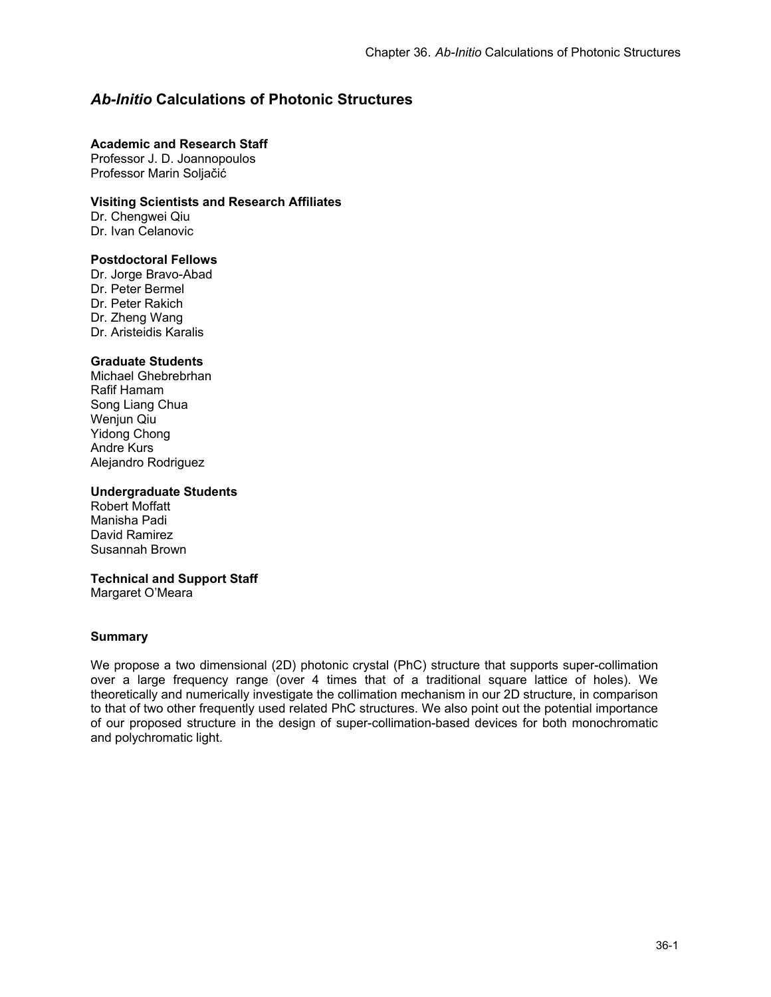# *Ab-Initio* **Calculations of Photonic Structures**

## **Academic and Research Staff**

Professor J. D. Joannopoulos Professor Marin Soljačić

# **Visiting Scientists and Research Affiliates**

Dr. Chengwei Qiu Dr. Ivan Celanovic

# **Postdoctoral Fellows**

Dr. Jorge Bravo-Abad Dr. Peter Bermel Dr. Peter Rakich Dr. Zheng Wang Dr. Aristeidis Karalis

# **Graduate Students**

Michael Ghebrebrhan Rafif Hamam Song Liang Chua Wenjun Qiu Yidong Chong Andre Kurs Alejandro Rodriguez

# **Undergraduate Students**

Robert Moffatt Manisha Padi David Ramirez Susannah Brown

## **Technical and Support Staff**

Margaret O'Meara

# **Summary**

We propose a two dimensional (2D) photonic crystal (PhC) structure that supports super-collimation over a large frequency range (over 4 times that of a traditional square lattice of holes). We theoretically and numerically investigate the collimation mechanism in our 2D structure, in comparison to that of two other frequently used related PhC structures. We also point out the potential importance of our proposed structure in the design of super-collimation-based devices for both monochromatic and polychromatic light.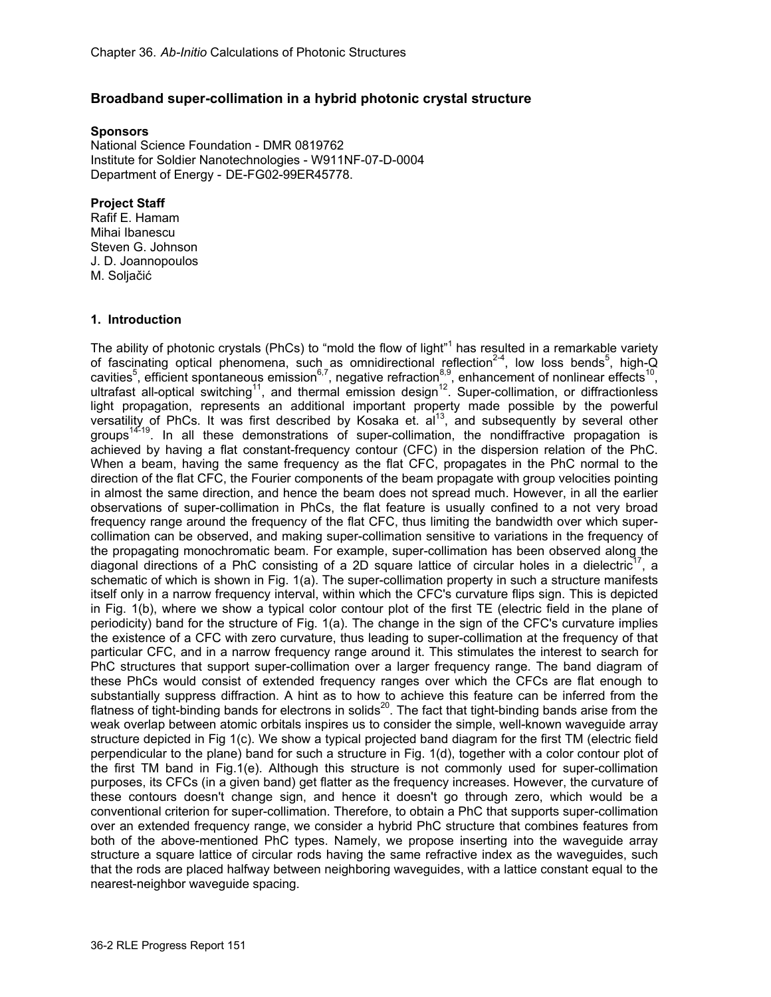# **Broadband super-collimation in a hybrid photonic crystal structure**

#### **Sponsors**

National Science Foundation - DMR 0819762 Institute for Soldier Nanotechnologies - W911NF-07-D-0004 Department of Energy - DE-FG02-99ER45778.

#### **Project Staff**  Rafif E. Hamam

Mihai Ibanescu Steven G. Johnson J. D. Joannopoulos M. Soljačić

## **1. Introduction**

The ability of photonic crystals (PhCs) to "mold the flow of light"<sup>1</sup> has resulted in a remarkable variety of fascinating optical phenomena, such as omnidirectional reflection<sup>2-4</sup>, low loss bends<sup>5</sup>, high-Q cavities<sup>5</sup>, efficient spontaneous emission<sup>6,7</sup>, negative refraction<sup>8,9</sup>, enhancement of nonlinear effects<sup>10</sup>, ultrafast all-optical switching<sup>11</sup>, and thermal emission design<sup>12</sup>. Super-collimation, or diffractionless light propagation, represents an additional important property made possible by the powerful versatility of PhCs. It was first described by Kosaka et.  $a^{13}$ , and subsequently by several other groups<sup>14-19</sup>. In all these demonstrations of super-collimation, the nondiffractive propagation is achieved by having a flat constant-frequency contour (CFC) in the dispersion relation of the PhC. When a beam, having the same frequency as the flat CFC, propagates in the PhC normal to the direction of the flat CFC, the Fourier components of the beam propagate with group velocities pointing in almost the same direction, and hence the beam does not spread much. However, in all the earlier observations of super-collimation in PhCs, the flat feature is usually confined to a not very broad frequency range around the frequency of the flat CFC, thus limiting the bandwidth over which supercollimation can be observed, and making super-collimation sensitive to variations in the frequency of the propagating monochromatic beam. For example, super-collimation has been observed along the diagonal directions of a PhC consisting of a 2D square lattice of circular holes in a dielectric<sup>17</sup>, a schematic of which is shown in Fig. 1(a). The super-collimation property in such a structure manifests itself only in a narrow frequency interval, within which the CFC's curvature flips sign. This is depicted in Fig. 1(b), where we show a typical color contour plot of the first TE (electric field in the plane of periodicity) band for the structure of Fig. 1(a). The change in the sign of the CFC's curvature implies the existence of a CFC with zero curvature, thus leading to super-collimation at the frequency of that particular CFC, and in a narrow frequency range around it. This stimulates the interest to search for PhC structures that support super-collimation over a larger frequency range. The band diagram of these PhCs would consist of extended frequency ranges over which the CFCs are flat enough to substantially suppress diffraction. A hint as to how to achieve this feature can be inferred from the flatness of tight-binding bands for electrons in solids<sup>20</sup>. The fact that tight-binding bands arise from the weak overlap between atomic orbitals inspires us to consider the simple, well-known waveguide array structure depicted in Fig 1(c). We show a typical projected band diagram for the first TM (electric field perpendicular to the plane) band for such a structure in Fig. 1(d), together with a color contour plot of the first TM band in Fig.1(e). Although this structure is not commonly used for super-collimation purposes, its CFCs (in a given band) get flatter as the frequency increases. However, the curvature of these contours doesn't change sign, and hence it doesn't go through zero, which would be a conventional criterion for super-collimation. Therefore, to obtain a PhC that supports super-collimation over an extended frequency range, we consider a hybrid PhC structure that combines features from both of the above-mentioned PhC types. Namely, we propose inserting into the waveguide array structure a square lattice of circular rods having the same refractive index as the waveguides, such that the rods are placed halfway between neighboring waveguides, with a lattice constant equal to the nearest-neighbor waveguide spacing.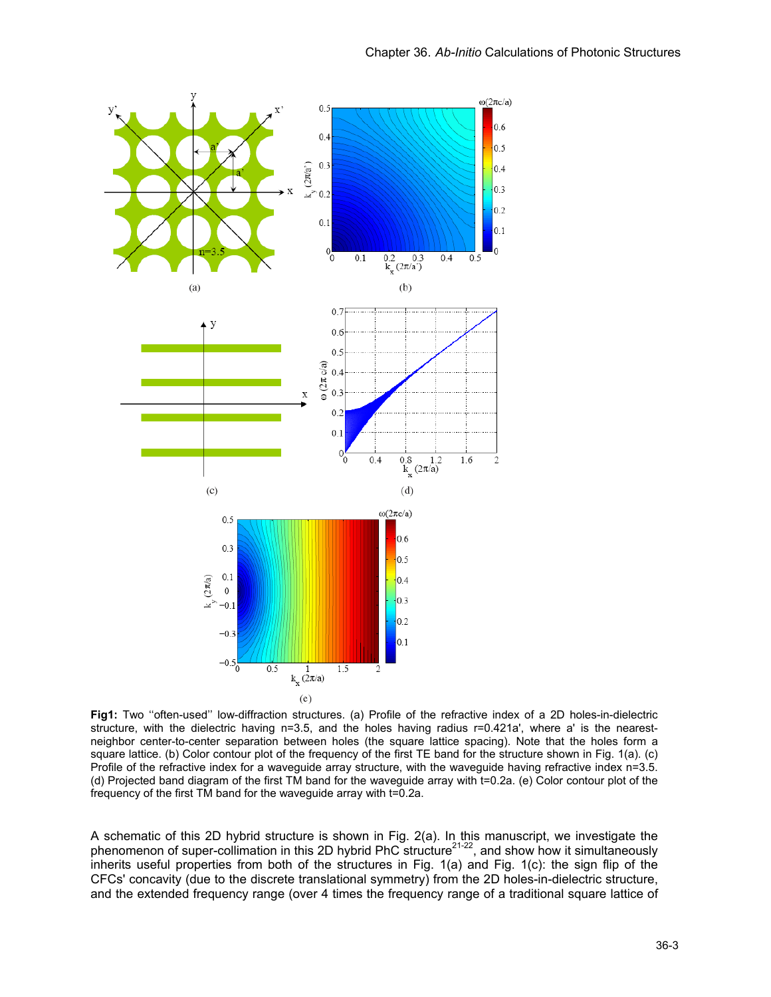

**Fig1:** Two ''often-used'' low-diffraction structures. (a) Profile of the refractive index of a 2D holes-in-dielectric structure, with the dielectric having n=3.5, and the holes having radius r=0.421a', where a' is the nearestneighbor center-to-center separation between holes (the square lattice spacing). Note that the holes form a square lattice. (b) Color contour plot of the frequency of the first TE band for the structure shown in Fig. 1(a). (c) Profile of the refractive index for a waveguide array structure, with the waveguide having refractive index n=3.5. (d) Projected band diagram of the first TM band for the waveguide array with t=0.2a. (e) Color contour plot of the frequency of the first TM band for the waveguide array with t=0.2a.

A schematic of this 2D hybrid structure is shown in Fig. 2(a). In this manuscript, we investigate the phenomenon of super-collimation in this 2D hybrid PhC structure<sup>21-22</sup>, and show how it simultaneously inherits useful properties from both of the structures in Fig. 1(a) and Fig. 1(c): the sign flip of the CFCs' concavity (due to the discrete translational symmetry) from the 2D holes-in-dielectric structure, and the extended frequency range (over 4 times the frequency range of a traditional square lattice of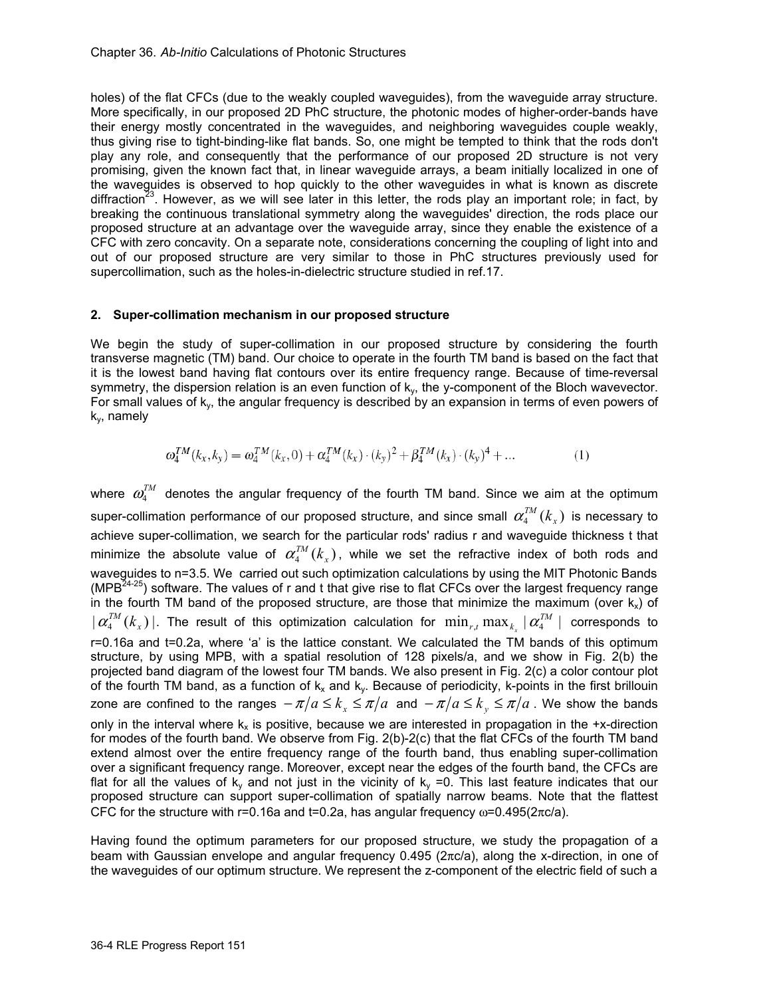holes) of the flat CFCs (due to the weakly coupled waveguides), from the waveguide array structure. More specifically, in our proposed 2D PhC structure, the photonic modes of higher-order-bands have their energy mostly concentrated in the waveguides, and neighboring waveguides couple weakly, thus giving rise to tight-binding-like flat bands. So, one might be tempted to think that the rods don't play any role, and consequently that the performance of our proposed 2D structure is not very promising, given the known fact that, in linear waveguide arrays, a beam initially localized in one of the waveguides is observed to hop quickly to the other waveguides in what is known as discrete diffraction<sup>23</sup>. However, as we will see later in this letter, the rods play an important role; in fact, by breaking the continuous translational symmetry along the waveguides' direction, the rods place our proposed structure at an advantage over the waveguide array, since they enable the existence of a CFC with zero concavity. On a separate note, considerations concerning the coupling of light into and out of our proposed structure are very similar to those in PhC structures previously used for supercollimation, such as the holes-in-dielectric structure studied in ref.17.

#### **2. Super-collimation mechanism in our proposed structure**

We begin the study of super-collimation in our proposed structure by considering the fourth transverse magnetic (TM) band. Our choice to operate in the fourth TM band is based on the fact that it is the lowest band having flat contours over its entire frequency range. Because of time-reversal symmetry, the dispersion relation is an even function of  $k<sub>v</sub>$ , the y-component of the Bloch wavevector. For small values of k<sub>y</sub>, the angular frequency is described by an expansion in terms of even powers of ky, namely

$$
\omega_4^{TM}(k_x, k_y) = \omega_4^{TM}(k_x, 0) + \alpha_4^{TM}(k_x) \cdot (k_y)^2 + \beta_4^{TM}(k_x) \cdot (k_y)^4 + \dots
$$
 (1)

where  $\omega_{\mu}^{TM}$  denotes the angular frequency of the fourth TM band. Since we aim at the optimum super-collimation performance of our proposed structure, and since small  $\alpha_{\rm 4}^{TM}(k_{_X})$  is necessary to achieve super-collimation, we search for the particular rods' radius r and waveguide thickness t that minimize the absolute value of  $\alpha_{\scriptscriptstyle 4}^{^\mathcal{T} M}(k_{\scriptscriptstyle \chi})$ , while we set the refractive index of both rods and waveguides to n=3.5. We carried out such optimization calculations by using the MIT Photonic Bands (MPB<sup>24-25</sup>) software. The values of r and t that give rise to flat CFCs over the largest frequency range in the fourth TM band of the proposed structure, are those that minimize the maximum (over  $k_x$ ) of  $\| \bm{\alpha}_4^{TM}(k_x) \|$ . The result of this optimization calculation for  $\min_{r,t} \max_{k_x} \| \bm{\alpha}_4^{TM} \|$  corresponds to r=0.16a and t=0.2a, where 'a' is the lattice constant. We calculated the TM bands of this optimum structure, by using MPB, with a spatial resolution of 128 pixels/a, and we show in Fig. 2(b) the projected band diagram of the lowest four TM bands. We also present in Fig. 2(c) a color contour plot of the fourth TM band, as a function of  $k_x$  and  $k_y$ . Because of periodicity, k-points in the first brillouin zone are confined to the ranges  $-\pi/a \le k_x \le \pi/a$  and  $-\pi/a \le k_y \le \pi/a$ . We show the bands only in the interval where  $k_x$  is positive, because we are interested in propagation in the +x-direction for modes of the fourth band. We observe from Fig. 2(b)-2(c) that the flat CFCs of the fourth TM band extend almost over the entire frequency range of the fourth band, thus enabling super-collimation over a significant frequency range. Moreover, except near the edges of the fourth band, the CFCs are flat for all the values of  $k_y$  and not just in the vicinity of  $k_y = 0$ . This last feature indicates that our proposed structure can support super-collimation of spatially narrow beams. Note that the flattest CFC for the structure with r=0.16a and t=0.2a, has angular frequency  $\omega$ =0.495(2πc/a).

Having found the optimum parameters for our proposed structure, we study the propagation of a beam with Gaussian envelope and angular frequency 0.495 (2πc/a), along the x-direction, in one of the waveguides of our optimum structure. We represent the z-component of the electric field of such a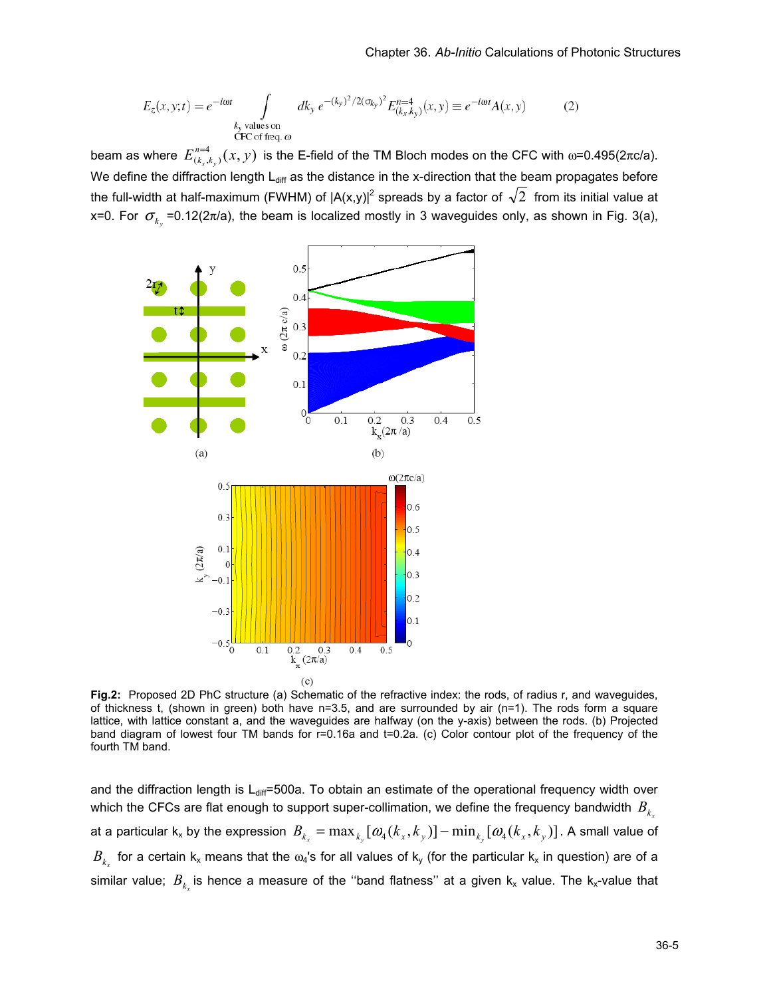$$
E_z(x, y; t) = e^{-i\omega t} \int_{\substack{k_y \text{ values on} \\ \text{CFC of freq. } \omega}} dk_y \, e^{-(k_y)^2/2(\sigma_{k_y})^2} E_{(k_x, k_y)}^{n=4}(x, y) \equiv e^{-i\omega t} A(x, y) \tag{2}
$$

beam as where  $E_{(k_x,k_y)}^{n=4}(x,y)$  is the E-field of the TM Bloch modes on the CFC with ω=0.495(2πc/a). We define the diffraction length  $L_{diff}$  as the distance in the x-direction that the beam propagates before the full-width at half-maximum (FWHM) of  $|A(x,y)|^2$  spreads by a factor of  $\sqrt{2}$  from its initial value at x=0. For  $\sigma_{k_v}$  =0.12(2 $\pi$ /a), the beam is localized mostly in 3 waveguides only, as shown in Fig. 3(a),



**Fig.2:** Proposed 2D PhC structure (a) Schematic of the refractive index: the rods, of radius r, and waveguides, of thickness t, (shown in green) both have n=3.5, and are surrounded by air (n=1). The rods form a square lattice, with lattice constant a, and the waveguides are halfway (on the y-axis) between the rods. (b) Projected band diagram of lowest four TM bands for r=0.16a and t=0.2a. (c) Color contour plot of the frequency of the fourth TM band.

and the diffraction length is  $L_{diff}$ =500a. To obtain an estimate of the operational frequency width over which the CFCs are flat enough to support super-collimation, we define the frequency bandwidth  $B_{k}$ at a particular k<sub>x</sub> by the expression  $B_{k_x} = \max_{k_x} [\omega_4(k_x, k_y)] - \min_{k_x} [\omega_4(k_x, k_y)]$ . A small value of  $B_{k_x}$  for a certain  $k_x$  means that the  $\omega_4$ 's for all values of  $k_y$  (for the particular  $k_x$  in question) are of a similar value;  $B_k$  is hence a measure of the "band flatness" at a given  $k_x$  value. The  $k_x$ -value that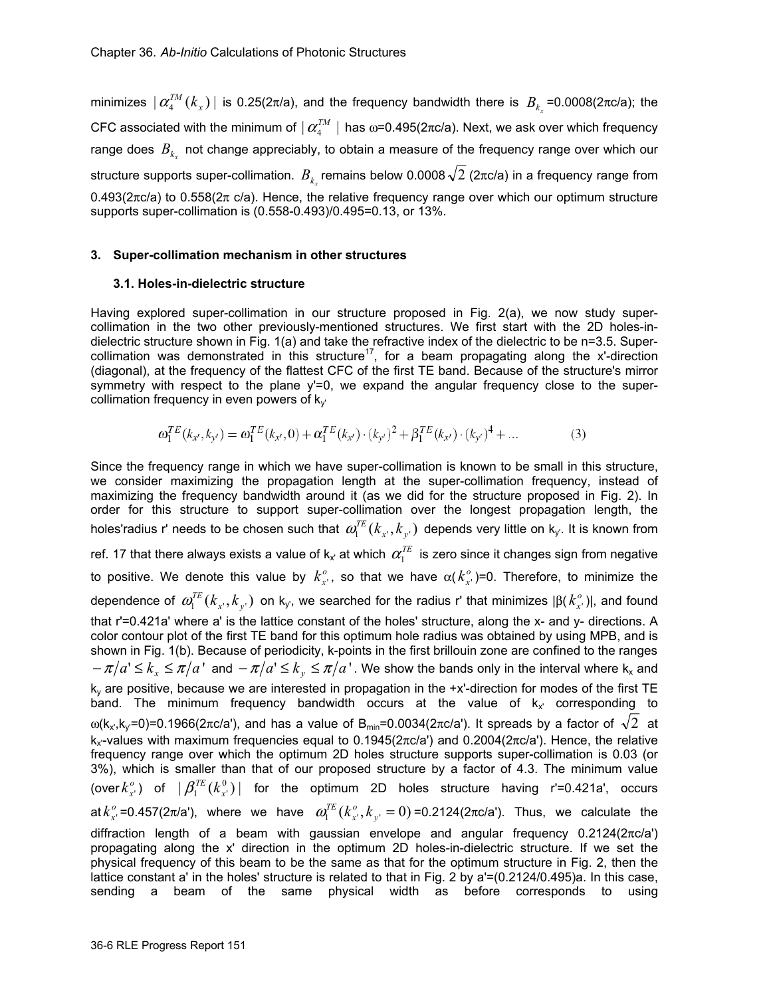minimizes  $| \alpha_4^{TM}(k_x) |$  is 0.25(2π/a), and the frequency bandwidth there is  $B_{k_x}$ =0.0008(2πc/a); the CFC associated with the minimum of  $\lfloor\alpha_4^{^{TM}}\rfloor$  has ω=0.495(2πc/a). Next, we ask over which frequency range does  $B_k$  not change appreciably, to obtain a measure of the frequency range over which our structure supports super-collimation.  $B_{k_x}$  remains below 0.0008  $\sqrt{2}$  (2πc/a) in a frequency range from  $0.493(2\pi c/a)$  to  $0.558(2\pi c/a)$ . Hence, the relative frequency range over which our optimum structure supports super-collimation is (0.558-0.493)/0.495=0.13, or 13%.

### **3. Super-collimation mechanism in other structures**

#### **3.1. Holes-in-dielectric structure**

Having explored super-collimation in our structure proposed in Fig. 2(a), we now study supercollimation in the two other previously-mentioned structures. We first start with the 2D holes-indielectric structure shown in Fig. 1(a) and take the refractive index of the dielectric to be n=3.5. Supercollimation was demonstrated in this structure<sup>17</sup>, for a beam propagating along the x'-direction (diagonal), at the frequency of the flattest CFC of the first TE band. Because of the structure's mirror symmetry with respect to the plane y'=0, we expand the angular frequency close to the supercollimation frequency in even powers of  $k_v$ 

$$
\omega_1^{TE}(k_{x'}, k_{y'}) = \omega_1^{TE}(k_{x'}, 0) + \alpha_1^{TE}(k_{x'}) \cdot (k_{y'})^2 + \beta_1^{TE}(k_{x'}) \cdot (k_{y'})^4 + \dots
$$
\n(3)

Since the frequency range in which we have super-collimation is known to be small in this structure, we consider maximizing the propagation length at the super-collimation frequency, instead of maximizing the frequency bandwidth around it (as we did for the structure proposed in Fig. 2). In order for this structure to support super-collimation over the longest propagation length, the holes'radius r' needs to be chosen such that  $\varpi^{TE}_1(k_{x'},k_{y'})$  depends very little on  $\sf k_{y'}$ . It is known from ref. 17 that there always exists a value of  $k_x$  at which  $\alpha_1^{TE}$  is zero since it changes sign from negative to positive. We denote this value by  $k_{x'}^o$ , so that we have  $\alpha(k_{x'}^o)$ =0. Therefore, to minimize the dependence of  $ω_1^{TE}(k_x, k_y)$  on k<sub>y'</sub>, we searched for the radius r' that minimizes  $|β(k_x^o)|$ , and found that r'=0.421a' where a' is the lattice constant of the holes' structure, along the x- and y- directions. A color contour plot of the first TE band for this optimum hole radius was obtained by using MPB, and is shown in Fig. 1(b). Because of periodicity, k-points in the first brillouin zone are confined to the ranges  $-\pi/a' \leq k_x \leq \pi/a'$  and  $-\pi/a' \leq k_y \leq \pi/a'$ . We show the bands only in the interval where k<sub>x</sub> and  $k<sub>v</sub>$  are positive, because we are interested in propagation in the +x'-direction for modes of the first TE band. The minimum frequency bandwidth occurs at the value of  $k_x$  corresponding to ω(k<sub>x</sub>,k<sub>y</sub>=0)=0.1966(2πc/a'), and has a value of B<sub>min</sub>=0.0034(2πc/a'). It spreads by a factor of  $\sqrt{2}$  at  $k_x$ -values with maximum frequencies equal to 0.1945( $2πc/a$ ) and 0.2004( $2πc/a$ ). Hence, the relative frequency range over which the optimum 2D holes structure supports super-collimation is 0.03 (or 3%), which is smaller than that of our proposed structure by a factor of 4.3. The minimum value (over  $k_{x'}^o$ ) of  $|\beta_1^{TE}(k_{x'}^0)|$  for the optimum 2D holes structure having r'=0.421a', occurs at  $k_{x'}^o$  =0.457(2π/a'), where we have  $\omega_1^{TE}(k_{x'}^o,k_{y'}=0)$  =0.2124(2πc/a'). Thus, we calculate the diffraction length of a beam with gaussian envelope and angular frequency 0.2124(2πc/a') propagating along the x' direction in the optimum 2D holes-in-dielectric structure. If we set the physical frequency of this beam to be the same as that for the optimum structure in Fig. 2, then the lattice constant a' in the holes' structure is related to that in Fig. 2 by a'=(0.2124/0.495)a. In this case, sending a beam of the same physical width as before corresponds to using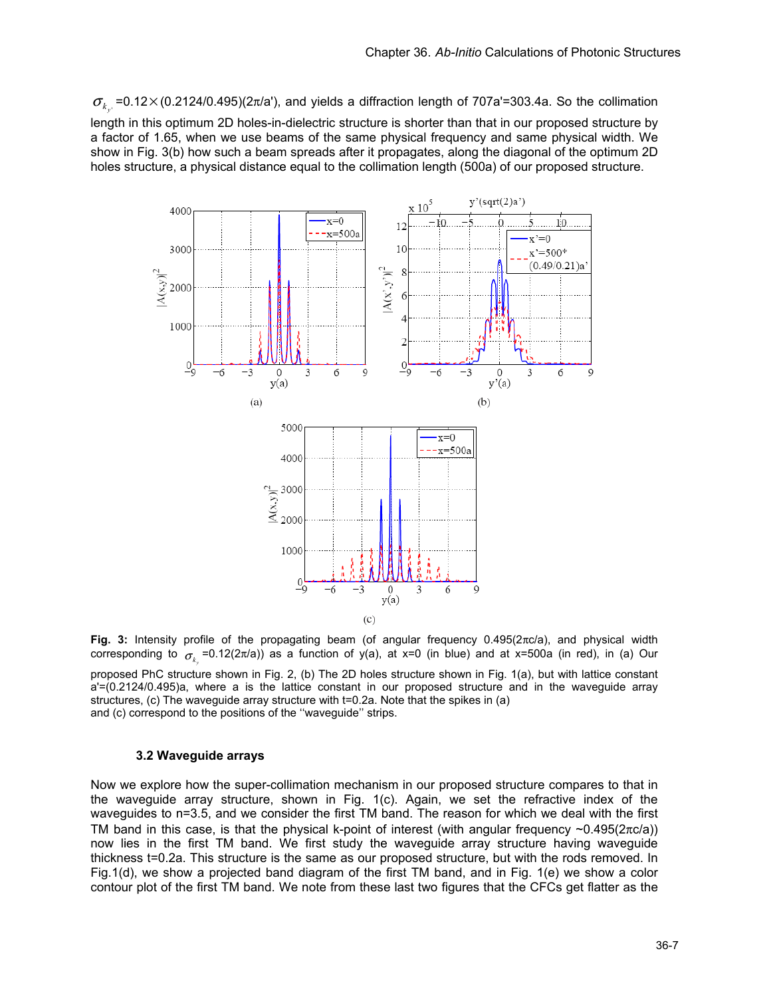$\sigma_{k}$  =0.12× (0.2124/0.495)(2 $\pi$ /a'), and yields a diffraction length of 707a'=303.4a. So the collimation

length in this optimum 2D holes-in-dielectric structure is shorter than that in our proposed structure by a factor of 1.65, when we use beams of the same physical frequency and same physical width. We show in Fig. 3(b) how such a beam spreads after it propagates, along the diagonal of the optimum 2D holes structure, a physical distance equal to the collimation length (500a) of our proposed structure.



**Fig. 3:** Intensity profile of the propagating beam (of angular frequency 0.495(2πc/a), and physical width corresponding to  $\sigma_{_{k_r}}$ =0.12(2π/a)) as a function of y(a), at x=0 (in blue) and at x=500a (in red), in (a) Our

proposed PhC structure shown in Fig. 2, (b) The 2D holes structure shown in Fig. 1(a), but with lattice constant a'=(0.2124/0.495)a, where a is the lattice constant in our proposed structure and in the waveguide array structures, (c) The waveguide array structure with t=0.2a. Note that the spikes in (a) and (c) correspond to the positions of the ''waveguide'' strips.

#### **3.2 Waveguide arrays**

Now we explore how the super-collimation mechanism in our proposed structure compares to that in the waveguide array structure, shown in Fig. 1(c). Again, we set the refractive index of the waveguides to n=3.5, and we consider the first TM band. The reason for which we deal with the first TM band in this case, is that the physical k-point of interest (with angular frequency  $\sim 0.495(2\pi c/a)$ ) now lies in the first TM band. We first study the waveguide array structure having waveguide thickness t=0.2a. This structure is the same as our proposed structure, but with the rods removed. In Fig.1(d), we show a projected band diagram of the first TM band, and in Fig. 1(e) we show a color contour plot of the first TM band. We note from these last two figures that the CFCs get flatter as the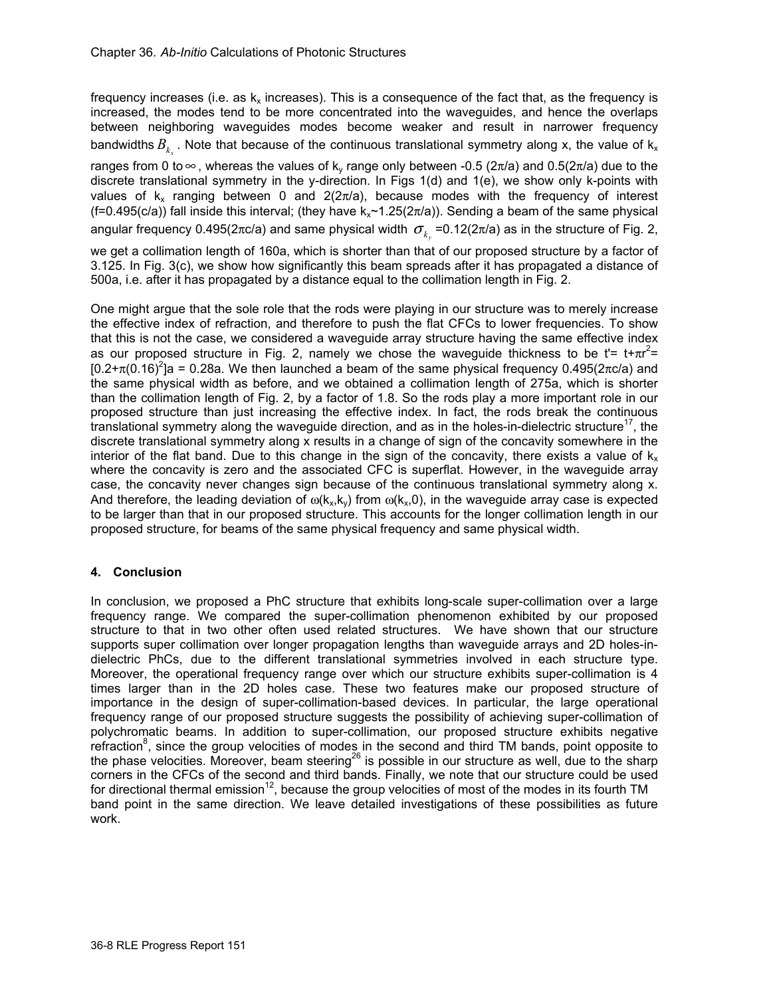frequency increases (i.e. as  $k_x$  increases). This is a consequence of the fact that, as the frequency is increased, the modes tend to be more concentrated into the waveguides, and hence the overlaps between neighboring waveguides modes become weaker and result in narrower frequency bandwidths  $B_k$ . Note that because of the continuous translational symmetry along x, the value of  $k_x$ 

ranges from 0 to  $\infty$ , whereas the values of k<sub>y</sub> range only between -0.5 (2π/a) and 0.5(2π/a) due to the discrete translational symmetry in the y-direction. In Figs 1(d) and 1(e), we show only k-points with values of  $k_x$  ranging between 0 and 2(2 $\pi$ /a), because modes with the frequency of interest  $(f=0.495(c/a))$  fall inside this interval; (they have k<sub>x</sub>~1.25(2 $\pi$ /a)). Sending a beam of the same physical angular frequency 0.495(2πc/a) and same physical width  $\sigma_k$  =0.12(2π/a) as in the structure of Fig. 2,

we get a collimation length of 160a, which is shorter than that of our proposed structure by a factor of 3.125. In Fig. 3(c), we show how significantly this beam spreads after it has propagated a distance of 500a, i.e. after it has propagated by a distance equal to the collimation length in Fig. 2.

One might argue that the sole role that the rods were playing in our structure was to merely increase the effective index of refraction, and therefore to push the flat CFCs to lower frequencies. To show that this is not the case, we considered a waveguide array structure having the same effective index as our proposed structure in Fig. 2, namely we chose the waveguide thickness to be t'=  $t + \pi r^2 =$ [0.2+ $\pi$ (0.16)<sup>2</sup>]a = 0.28a. We then launched a beam of the same physical frequency 0.495(2πc/a) and the same physical width as before, and we obtained a collimation length of 275a, which is shorter than the collimation length of Fig. 2, by a factor of 1.8. So the rods play a more important role in our proposed structure than just increasing the effective index. In fact, the rods break the continuous translational symmetry along the waveguide direction, and as in the holes-in-dielectric structure<sup>17</sup>, the discrete translational symmetry along x results in a change of sign of the concavity somewhere in the interior of the flat band. Due to this change in the sign of the concavity, there exists a value of  $k_x$ where the concavity is zero and the associated CFC is superflat. However, in the waveguide array case, the concavity never changes sign because of the continuous translational symmetry along x. And therefore, the leading deviation of  $\omega(k_x, k_y)$  from  $\omega(k_x, 0)$ , in the waveguide array case is expected to be larger than that in our proposed structure. This accounts for the longer collimation length in our proposed structure, for beams of the same physical frequency and same physical width.

# **4. Conclusion**

In conclusion, we proposed a PhC structure that exhibits long-scale super-collimation over a large frequency range. We compared the super-collimation phenomenon exhibited by our proposed structure to that in two other often used related structures. We have shown that our structure supports super collimation over longer propagation lengths than waveguide arrays and 2D holes-indielectric PhCs, due to the different translational symmetries involved in each structure type. Moreover, the operational frequency range over which our structure exhibits super-collimation is 4 times larger than in the 2D holes case. These two features make our proposed structure of importance in the design of super-collimation-based devices. In particular, the large operational frequency range of our proposed structure suggests the possibility of achieving super-collimation of polychromatic beams. In addition to super-collimation, our proposed structure exhibits negative refraction<sup>8</sup>, since the group velocities of modes in the second and third TM bands, point opposite to the phase velocities. Moreover, beam steering<sup>26</sup> is possible in our structure as well, due to the sharp corners in the CFCs of the second and third bands. Finally, we note that our structure could be used for directional thermal emission<sup>12</sup>, because the group velocities of most of the modes in its fourth TM band point in the same direction. We leave detailed investigations of these possibilities as future work.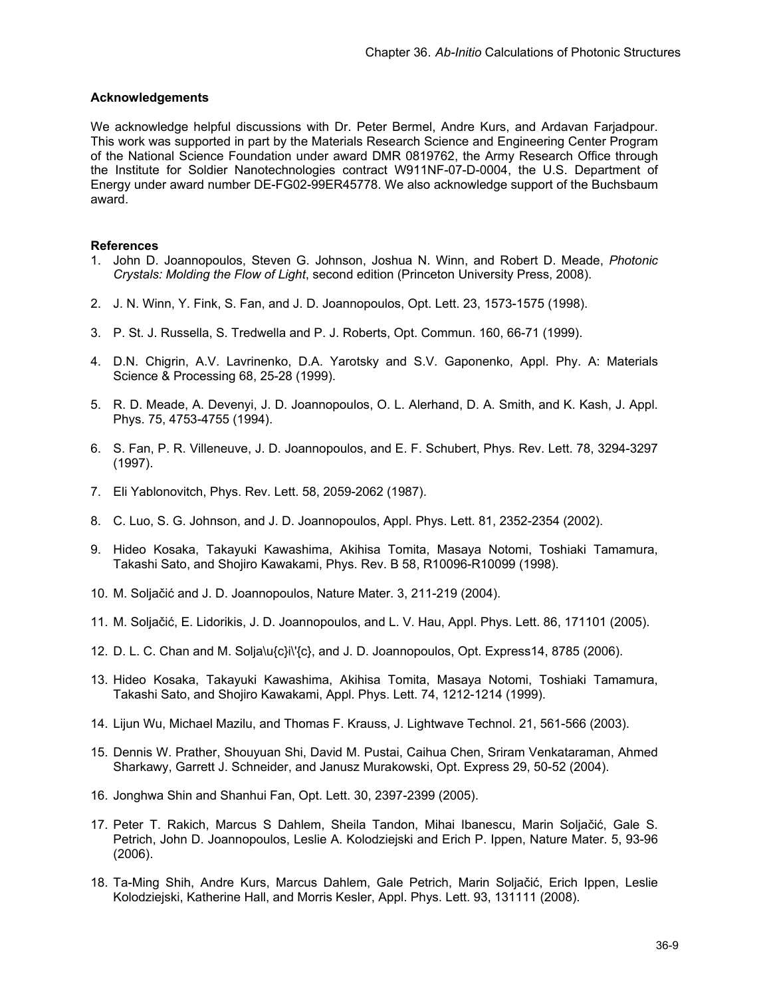# **Acknowledgements**

We acknowledge helpful discussions with Dr. Peter Bermel, Andre Kurs, and Ardavan Farjadpour. This work was supported in part by the Materials Research Science and Engineering Center Program of the National Science Foundation under award DMR 0819762, the Army Research Office through the Institute for Soldier Nanotechnologies contract W911NF-07-D-0004, the U.S. Department of Energy under award number DE-FG02-99ER45778. We also acknowledge support of the Buchsbaum award.

# **References**

- 1. John D. Joannopoulos, Steven G. Johnson, Joshua N. Winn, and Robert D. Meade, *Photonic Crystals: Molding the Flow of Light*, second edition (Princeton University Press, 2008).
- 2. J. N. Winn, Y. Fink, S. Fan, and J. D. Joannopoulos, Opt. Lett. 23, 1573-1575 (1998).
- 3. P. St. J. Russella, S. Tredwella and P. J. Roberts, Opt. Commun. 160, 66-71 (1999).
- 4. D.N. Chigrin, A.V. Lavrinenko, D.A. Yarotsky and S.V. Gaponenko, Appl. Phy. A: Materials Science & Processing 68, 25-28 (1999).
- 5. R. D. Meade, A. Devenyi, J. D. Joannopoulos, O. L. Alerhand, D. A. Smith, and K. Kash, J. Appl. Phys. 75, 4753-4755 (1994).
- 6. S. Fan, P. R. Villeneuve, J. D. Joannopoulos, and E. F. Schubert, Phys. Rev. Lett. 78, 3294-3297 (1997).
- 7. Eli Yablonovitch, Phys. Rev. Lett. 58, 2059-2062 (1987).
- 8. C. Luo, S. G. Johnson, and J. D. Joannopoulos, Appl. Phys. Lett. 81, 2352-2354 (2002).
- 9. Hideo Kosaka, Takayuki Kawashima, Akihisa Tomita, Masaya Notomi, Toshiaki Tamamura, Takashi Sato, and Shojiro Kawakami, Phys. Rev. B 58, R10096-R10099 (1998).
- 10. M. Soljačić and J. D. Joannopoulos, Nature Mater. 3, 211-219 (2004).
- 11. M. Soljačić, E. Lidorikis, J. D. Joannopoulos, and L. V. Hau, Appl. Phys. Lett. 86, 171101 (2005).
- 12. D. L. C. Chan and M. Solja\u{c}i\'{c}, and J. D. Joannopoulos, Opt. Express14, 8785 (2006).
- 13. Hideo Kosaka, Takayuki Kawashima, Akihisa Tomita, Masaya Notomi, Toshiaki Tamamura, Takashi Sato, and Shojiro Kawakami, Appl. Phys. Lett. 74, 1212-1214 (1999).
- 14. Lijun Wu, Michael Mazilu, and Thomas F. Krauss, J. Lightwave Technol. 21, 561-566 (2003).
- 15. Dennis W. Prather, Shouyuan Shi, David M. Pustai, Caihua Chen, Sriram Venkataraman, Ahmed Sharkawy, Garrett J. Schneider, and Janusz Murakowski, Opt. Express 29, 50-52 (2004).
- 16. Jonghwa Shin and Shanhui Fan, Opt. Lett. 30, 2397-2399 (2005).
- 17. Peter T. Rakich, Marcus S Dahlem, Sheila Tandon, Mihai Ibanescu, Marin Soljačić, Gale S. Petrich, John D. Joannopoulos, Leslie A. Kolodziejski and Erich P. Ippen, Nature Mater. 5, 93-96 (2006).
- 18. Ta-Ming Shih, Andre Kurs, Marcus Dahlem, Gale Petrich, Marin Soljačić, Erich Ippen, Leslie Kolodziejski, Katherine Hall, and Morris Kesler, Appl. Phys. Lett. 93, 131111 (2008).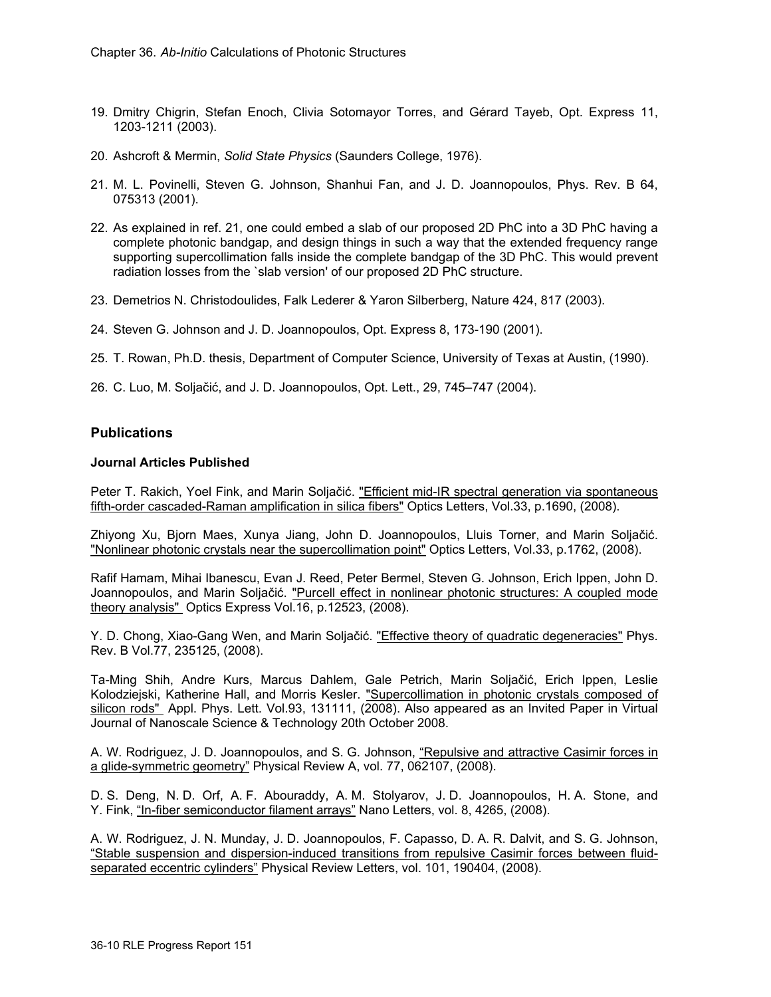- 19. Dmitry Chigrin, Stefan Enoch, Clivia Sotomayor Torres, and Gérard Tayeb, Opt. Express 11, 1203-1211 (2003).
- 20. Ashcroft & Mermin, *Solid State Physics* (Saunders College, 1976).
- 21. M. L. Povinelli, Steven G. Johnson, Shanhui Fan, and J. D. Joannopoulos, Phys. Rev. B 64, 075313 (2001).
- 22. As explained in ref. 21, one could embed a slab of our proposed 2D PhC into a 3D PhC having a complete photonic bandgap, and design things in such a way that the extended frequency range supporting supercollimation falls inside the complete bandgap of the 3D PhC. This would prevent radiation losses from the `slab version' of our proposed 2D PhC structure.
- 23. Demetrios N. Christodoulides, Falk Lederer & Yaron Silberberg, Nature 424, 817 (2003).
- 24. Steven G. Johnson and J. D. Joannopoulos, Opt. Express 8, 173-190 (2001).
- 25. T. Rowan, Ph.D. thesis, Department of Computer Science, University of Texas at Austin, (1990).
- 26. C. Luo, M. Soljačić, and J. D. Joannopoulos, Opt. Lett., 29, 745–747 (2004).

## **Publications**

# **Journal Articles Published**

Peter T. Rakich, Yoel Fink, and Marin Soljačić. "Efficient mid-IR spectral generation via spontaneous fifth-order cascaded-Raman amplification in silica fibers" Optics Letters, Vol.33, p.1690, (2008).

Zhiyong Xu, Bjorn Maes, Xunya Jiang, John D. Joannopoulos, Lluis Torner, and Marin Soljačić. "Nonlinear photonic crystals near the supercollimation point" Optics Letters, Vol.33, p.1762, (2008).

Rafif Hamam, Mihai Ibanescu, Evan J. Reed, Peter Bermel, Steven G. Johnson, Erich Ippen, John D. Joannopoulos, and Marin Soljačić. "Purcell effect in nonlinear photonic structures: A coupled mode theory analysis" Optics Express Vol.16, p.12523, (2008).

Y. D. Chong, Xiao-Gang Wen, and Marin Soljačić. "Effective theory of quadratic degeneracies" Phys. Rev. B Vol.77, 235125, (2008).

Ta-Ming Shih, Andre Kurs, Marcus Dahlem, Gale Petrich, Marin Soljačić, Erich Ippen, Leslie Kolodziejski, Katherine Hall, and Morris Kesler. "Supercollimation in photonic crystals composed of silicon rods" Appl. Phys. Lett. Vol.93, 131111, (2008). Also appeared as an Invited Paper in Virtual Journal of Nanoscale Science & Technology 20th October 2008.

A. W. Rodriguez, J. D. Joannopoulos, and S. G. Johnson, "Repulsive and attractive Casimir forces in a glide-symmetric geometry" Physical Review A, vol. 77, 062107, (2008).

D. S. Deng, N. D. Orf, A. F. Abouraddy, A. M. Stolyarov, J. D. Joannopoulos, H. A. Stone, and Y. Fink, "In-fiber semiconductor filament arrays" Nano Letters, vol. 8, 4265, (2008).

A. W. Rodriguez, J. N. Munday, J. D. Joannopoulos, F. Capasso, D. A. R. Dalvit, and S. G. Johnson, "Stable suspension and dispersion-induced transitions from repulsive Casimir forces between fluidseparated eccentric cylinders" Physical Review Letters, vol. 101, 190404, (2008).